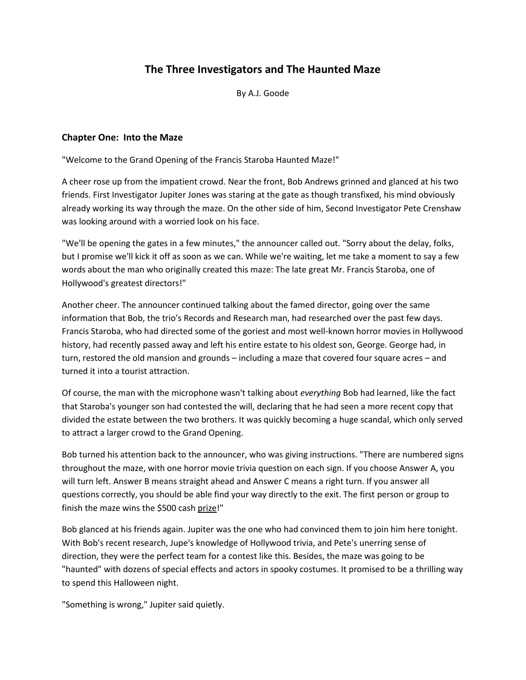# **The Three Investigators and The Haunted Maze**

By A.J. Goode

#### **Chapter One: Into the Maze**

"Welcome to the Grand Opening of the Francis Staroba Haunted Maze!"

A cheer rose up from the impatient crowd. Near the front, Bob Andrews grinned and glanced at his two friends. First Investigator Jupiter Jones was staring at the gate as though transfixed, his mind obviously already working its way through the maze. On the other side of him, Second Investigator Pete Crenshaw was looking around with a worried look on his face.

"We'll be opening the gates in a few minutes," the announcer called out. "Sorry about the delay, folks, but I promise we'll kick it off as soon as we can. While we're waiting, let me take a moment to say a few words about the man who originally created this maze: The late great Mr. Francis Staroba, one of Hollywood's greatest directors!"

Another cheer. The announcer continued talking about the famed director, going over the same information that Bob, the trio's Records and Research man, had researched over the past few days. Francis Staroba, who had directed some of the goriest and most well-known horror movies in Hollywood history, had recently passed away and left his entire estate to his oldest son, George. George had, in turn, restored the old mansion and grounds – including a maze that covered four square acres – and turned it into a tourist attraction.

Of course, the man with the microphone wasn't talking about *everything* Bob had learned, like the fact that Staroba's younger son had contested the will, declaring that he had seen a more recent copy that divided the estate between the two brothers. It was quickly becoming a huge scandal, which only served to attract a larger crowd to the Grand Opening.

Bob turned his attention back to the announcer, who was giving instructions. "There are numbered signs throughout the maze, with one horror movie trivia question on each sign. If you choose Answer A, you will turn left. Answer B means straight ahead and Answer C means a right turn. If you answer all questions correctly, you should be able find your way directly to the exit. The first person or group to finish the maze wins the \$500 cash prize!"

Bob glanced at his friends again. Jupiter was the one who had convinced them to join him here tonight. With Bob's recent research, Jupe's knowledge of Hollywood trivia, and Pete's unerring sense of direction, they were the perfect team for a contest like this. Besides, the maze was going to be "haunted" with dozens of special effects and actors in spooky costumes. It promised to be a thrilling way to spend this Halloween night.

"Something is wrong," Jupiter said quietly.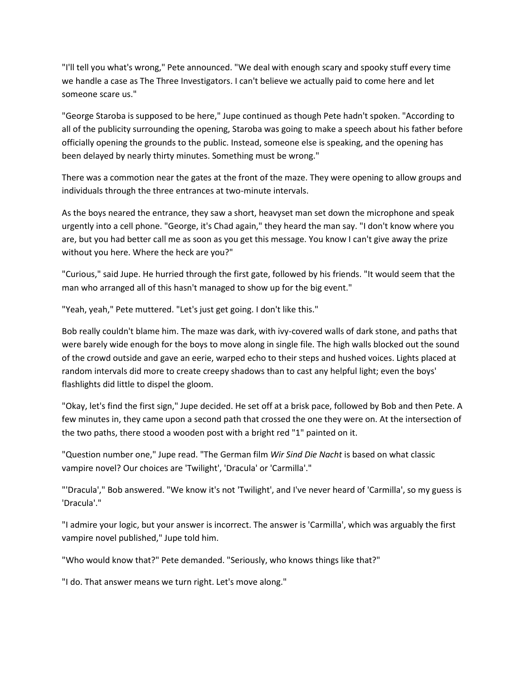"I'll tell you what's wrong," Pete announced. "We deal with enough scary and spooky stuff every time we handle a case as The Three Investigators. I can't believe we actually paid to come here and let someone scare us."

"George Staroba is supposed to be here," Jupe continued as though Pete hadn't spoken. "According to all of the publicity surrounding the opening, Staroba was going to make a speech about his father before officially opening the grounds to the public. Instead, someone else is speaking, and the opening has been delayed by nearly thirty minutes. Something must be wrong."

There was a commotion near the gates at the front of the maze. They were opening to allow groups and individuals through the three entrances at two-minute intervals.

As the boys neared the entrance, they saw a short, heavyset man set down the microphone and speak urgently into a cell phone. "George, it's Chad again," they heard the man say. "I don't know where you are, but you had better call me as soon as you get this message. You know I can't give away the prize without you here. Where the heck are you?"

"Curious," said Jupe. He hurried through the first gate, followed by his friends. "It would seem that the man who arranged all of this hasn't managed to show up for the big event."

"Yeah, yeah," Pete muttered. "Let's just get going. I don't like this."

Bob really couldn't blame him. The maze was dark, with ivy-covered walls of dark stone, and paths that were barely wide enough for the boys to move along in single file. The high walls blocked out the sound of the crowd outside and gave an eerie, warped echo to their steps and hushed voices. Lights placed at random intervals did more to create creepy shadows than to cast any helpful light; even the boys' flashlights did little to dispel the gloom.

"Okay, let's find the first sign," Jupe decided. He set off at a brisk pace, followed by Bob and then Pete. A few minutes in, they came upon a second path that crossed the one they were on. At the intersection of the two paths, there stood a wooden post with a bright red "1" painted on it.

"Question number one," Jupe read. "The German film *Wir Sind Die Nacht* is based on what classic vampire novel? Our choices are 'Twilight', 'Dracula' or 'Carmilla'."

"'Dracula'," Bob answered. "We know it's not 'Twilight', and I've never heard of 'Carmilla', so my guess is 'Dracula'."

"I admire your logic, but your answer is incorrect. The answer is 'Carmilla', which was arguably the first vampire novel published," Jupe told him.

"Who would know that?" Pete demanded. "Seriously, who knows things like that?"

"I do. That answer means we turn right. Let's move along."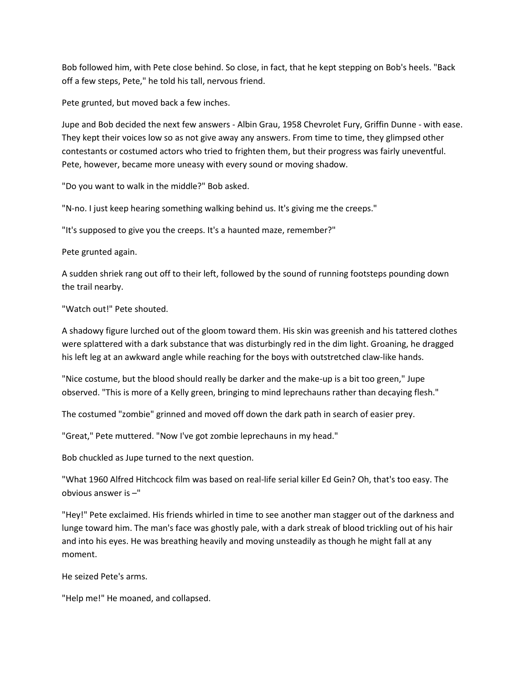Bob followed him, with Pete close behind. So close, in fact, that he kept stepping on Bob's heels. "Back off a few steps, Pete," he told his tall, nervous friend.

Pete grunted, but moved back a few inches.

Jupe and Bob decided the next few answers - Albin Grau, 1958 Chevrolet Fury, Griffin Dunne - with ease. They kept their voices low so as not give away any answers. From time to time, they glimpsed other contestants or costumed actors who tried to frighten them, but their progress was fairly uneventful. Pete, however, became more uneasy with every sound or moving shadow.

"Do you want to walk in the middle?" Bob asked.

"N-no. I just keep hearing something walking behind us. It's giving me the creeps."

"It's supposed to give you the creeps. It's a haunted maze, remember?"

Pete grunted again.

A sudden shriek rang out off to their left, followed by the sound of running footsteps pounding down the trail nearby.

"Watch out!" Pete shouted.

A shadowy figure lurched out of the gloom toward them. His skin was greenish and his tattered clothes were splattered with a dark substance that was disturbingly red in the dim light. Groaning, he dragged his left leg at an awkward angle while reaching for the boys with outstretched claw-like hands.

"Nice costume, but the blood should really be darker and the make-up is a bit too green," Jupe observed. "This is more of a Kelly green, bringing to mind leprechauns rather than decaying flesh."

The costumed "zombie" grinned and moved off down the dark path in search of easier prey.

"Great," Pete muttered. "Now I've got zombie leprechauns in my head."

Bob chuckled as Jupe turned to the next question.

"What 1960 Alfred Hitchcock film was based on real-life serial killer Ed Gein? Oh, that's too easy. The obvious answer is –"

"Hey!" Pete exclaimed. His friends whirled in time to see another man stagger out of the darkness and lunge toward him. The man's face was ghostly pale, with a dark streak of blood trickling out of his hair and into his eyes. He was breathing heavily and moving unsteadily as though he might fall at any moment.

He seized Pete's arms.

"Help me!" He moaned, and collapsed.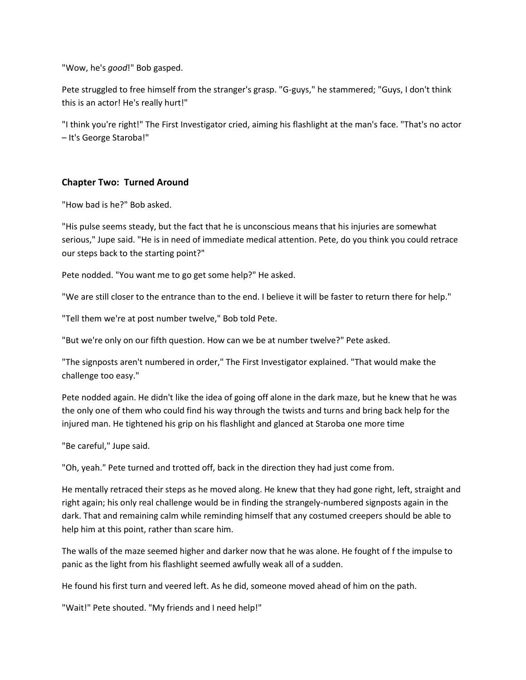"Wow, he's *good*!" Bob gasped.

Pete struggled to free himself from the stranger's grasp. "G-guys," he stammered; "Guys, I don't think this is an actor! He's really hurt!"

"I think you're right!" The First Investigator cried, aiming his flashlight at the man's face. "That's no actor – It's George Staroba!"

## **Chapter Two: Turned Around**

"How bad is he?" Bob asked.

"His pulse seems steady, but the fact that he is unconscious means that his injuries are somewhat serious," Jupe said. "He is in need of immediate medical attention. Pete, do you think you could retrace our steps back to the starting point?"

Pete nodded. "You want me to go get some help?" He asked.

"We are still closer to the entrance than to the end. I believe it will be faster to return there for help."

"Tell them we're at post number twelve," Bob told Pete.

"But we're only on our fifth question. How can we be at number twelve?" Pete asked.

"The signposts aren't numbered in order," The First Investigator explained. "That would make the challenge too easy."

Pete nodded again. He didn't like the idea of going off alone in the dark maze, but he knew that he was the only one of them who could find his way through the twists and turns and bring back help for the injured man. He tightened his grip on his flashlight and glanced at Staroba one more time

"Be careful," Jupe said.

"Oh, yeah." Pete turned and trotted off, back in the direction they had just come from.

He mentally retraced their steps as he moved along. He knew that they had gone right, left, straight and right again; his only real challenge would be in finding the strangely-numbered signposts again in the dark. That and remaining calm while reminding himself that any costumed creepers should be able to help him at this point, rather than scare him.

The walls of the maze seemed higher and darker now that he was alone. He fought of f the impulse to panic as the light from his flashlight seemed awfully weak all of a sudden.

He found his first turn and veered left. As he did, someone moved ahead of him on the path.

"Wait!" Pete shouted. "My friends and I need help!"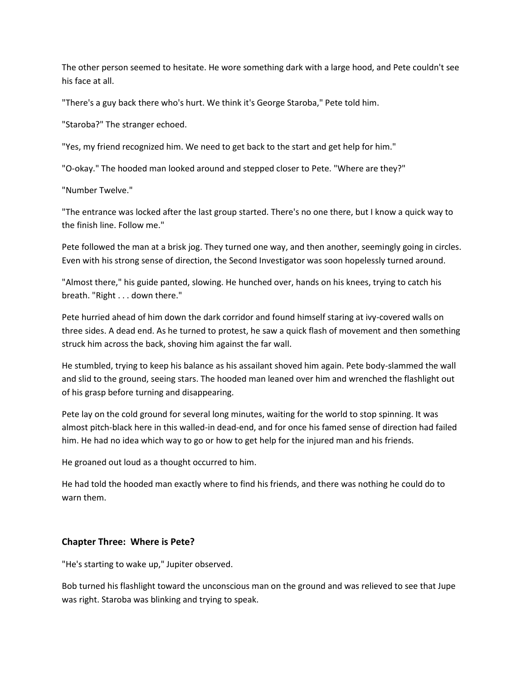The other person seemed to hesitate. He wore something dark with a large hood, and Pete couldn't see his face at all.

"There's a guy back there who's hurt. We think it's George Staroba," Pete told him.

"Staroba?" The stranger echoed.

"Yes, my friend recognized him. We need to get back to the start and get help for him."

"O-okay." The hooded man looked around and stepped closer to Pete. "Where are they?"

"Number Twelve."

"The entrance was locked after the last group started. There's no one there, but I know a quick way to the finish line. Follow me."

Pete followed the man at a brisk jog. They turned one way, and then another, seemingly going in circles. Even with his strong sense of direction, the Second Investigator was soon hopelessly turned around.

"Almost there," his guide panted, slowing. He hunched over, hands on his knees, trying to catch his breath. "Right . . . down there."

Pete hurried ahead of him down the dark corridor and found himself staring at ivy-covered walls on three sides. A dead end. As he turned to protest, he saw a quick flash of movement and then something struck him across the back, shoving him against the far wall.

He stumbled, trying to keep his balance as his assailant shoved him again. Pete body-slammed the wall and slid to the ground, seeing stars. The hooded man leaned over him and wrenched the flashlight out of his grasp before turning and disappearing.

Pete lay on the cold ground for several long minutes, waiting for the world to stop spinning. It was almost pitch-black here in this walled-in dead-end, and for once his famed sense of direction had failed him. He had no idea which way to go or how to get help for the injured man and his friends.

He groaned out loud as a thought occurred to him.

He had told the hooded man exactly where to find his friends, and there was nothing he could do to warn them.

## **Chapter Three: Where is Pete?**

"He's starting to wake up," Jupiter observed.

Bob turned his flashlight toward the unconscious man on the ground and was relieved to see that Jupe was right. Staroba was blinking and trying to speak.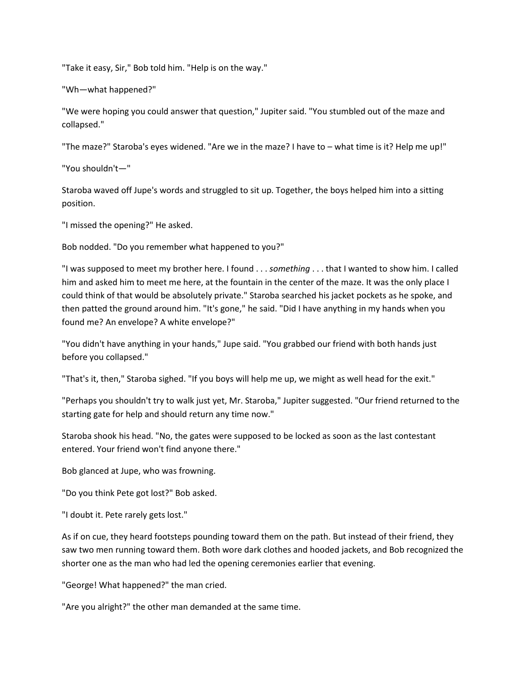"Take it easy, Sir," Bob told him. "Help is on the way."

"Wh—what happened?"

"We were hoping you could answer that question," Jupiter said. "You stumbled out of the maze and collapsed."

"The maze?" Staroba's eyes widened. "Are we in the maze? I have to – what time is it? Help me up!"

"You shouldn't—"

Staroba waved off Jupe's words and struggled to sit up. Together, the boys helped him into a sitting position.

"I missed the opening?" He asked.

Bob nodded. "Do you remember what happened to you?"

"I was supposed to meet my brother here. I found . . . *something* . . . that I wanted to show him. I called him and asked him to meet me here, at the fountain in the center of the maze. It was the only place I could think of that would be absolutely private." Staroba searched his jacket pockets as he spoke, and then patted the ground around him. "It's gone," he said. "Did I have anything in my hands when you found me? An envelope? A white envelope?"

"You didn't have anything in your hands," Jupe said. "You grabbed our friend with both hands just before you collapsed."

"That's it, then," Staroba sighed. "If you boys will help me up, we might as well head for the exit."

"Perhaps you shouldn't try to walk just yet, Mr. Staroba," Jupiter suggested. "Our friend returned to the starting gate for help and should return any time now."

Staroba shook his head. "No, the gates were supposed to be locked as soon as the last contestant entered. Your friend won't find anyone there."

Bob glanced at Jupe, who was frowning.

"Do you think Pete got lost?" Bob asked.

"I doubt it. Pete rarely gets lost."

As if on cue, they heard footsteps pounding toward them on the path. But instead of their friend, they saw two men running toward them. Both wore dark clothes and hooded jackets, and Bob recognized the shorter one as the man who had led the opening ceremonies earlier that evening.

"George! What happened?" the man cried.

"Are you alright?" the other man demanded at the same time.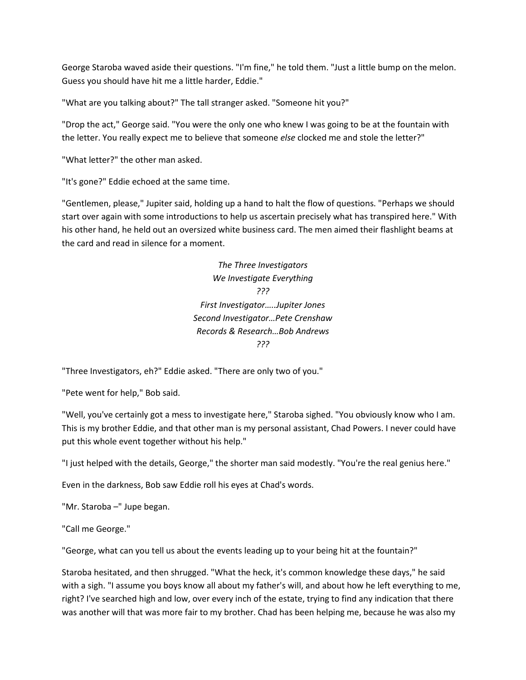George Staroba waved aside their questions. "I'm fine," he told them. "Just a little bump on the melon. Guess you should have hit me a little harder, Eddie."

"What are you talking about?" The tall stranger asked. "Someone hit you?"

"Drop the act," George said. "You were the only one who knew I was going to be at the fountain with the letter. You really expect me to believe that someone *else* clocked me and stole the letter?"

"What letter?" the other man asked.

"It's gone?" Eddie echoed at the same time.

"Gentlemen, please," Jupiter said, holding up a hand to halt the flow of questions. "Perhaps we should start over again with some introductions to help us ascertain precisely what has transpired here." With his other hand, he held out an oversized white business card. The men aimed their flashlight beams at the card and read in silence for a moment.

> *The Three Investigators We Investigate Everything ??? First Investigator…..Jupiter Jones Second Investigator…Pete Crenshaw Records & Research…Bob Andrews ???*

"Three Investigators, eh?" Eddie asked. "There are only two of you."

"Pete went for help," Bob said.

"Well, you've certainly got a mess to investigate here," Staroba sighed. "You obviously know who I am. This is my brother Eddie, and that other man is my personal assistant, Chad Powers. I never could have put this whole event together without his help."

"I just helped with the details, George," the shorter man said modestly. "You're the real genius here."

Even in the darkness, Bob saw Eddie roll his eyes at Chad's words.

"Mr. Staroba –" Jupe began.

"Call me George."

"George, what can you tell us about the events leading up to your being hit at the fountain?"

Staroba hesitated, and then shrugged. "What the heck, it's common knowledge these days," he said with a sigh. "I assume you boys know all about my father's will, and about how he left everything to me, right? I've searched high and low, over every inch of the estate, trying to find any indication that there was another will that was more fair to my brother. Chad has been helping me, because he was also my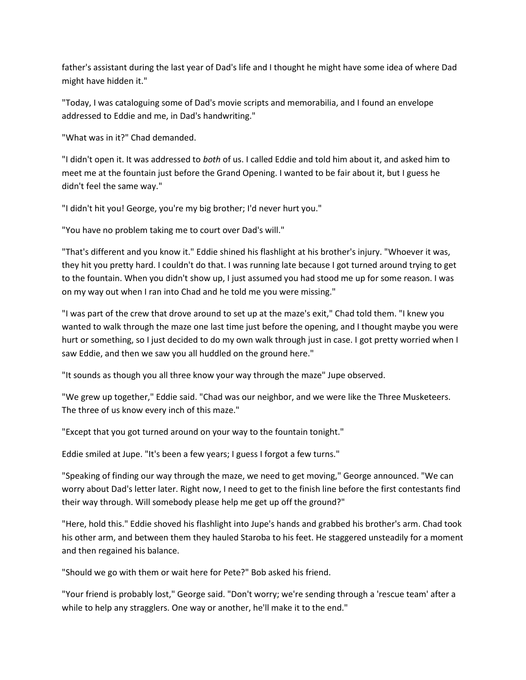father's assistant during the last year of Dad's life and I thought he might have some idea of where Dad might have hidden it."

"Today, I was cataloguing some of Dad's movie scripts and memorabilia, and I found an envelope addressed to Eddie and me, in Dad's handwriting."

"What was in it?" Chad demanded.

"I didn't open it. It was addressed to *both* of us. I called Eddie and told him about it, and asked him to meet me at the fountain just before the Grand Opening. I wanted to be fair about it, but I guess he didn't feel the same way."

"I didn't hit you! George, you're my big brother; I'd never hurt you."

"You have no problem taking me to court over Dad's will."

"That's different and you know it." Eddie shined his flashlight at his brother's injury. "Whoever it was, they hit you pretty hard. I couldn't do that. I was running late because I got turned around trying to get to the fountain. When you didn't show up, I just assumed you had stood me up for some reason. I was on my way out when I ran into Chad and he told me you were missing."

"I was part of the crew that drove around to set up at the maze's exit," Chad told them. "I knew you wanted to walk through the maze one last time just before the opening, and I thought maybe you were hurt or something, so I just decided to do my own walk through just in case. I got pretty worried when I saw Eddie, and then we saw you all huddled on the ground here."

"It sounds as though you all three know your way through the maze" Jupe observed.

"We grew up together," Eddie said. "Chad was our neighbor, and we were like the Three Musketeers. The three of us know every inch of this maze."

"Except that you got turned around on your way to the fountain tonight."

Eddie smiled at Jupe. "It's been a few years; I guess I forgot a few turns."

"Speaking of finding our way through the maze, we need to get moving," George announced. "We can worry about Dad's letter later. Right now, I need to get to the finish line before the first contestants find their way through. Will somebody please help me get up off the ground?"

"Here, hold this." Eddie shoved his flashlight into Jupe's hands and grabbed his brother's arm. Chad took his other arm, and between them they hauled Staroba to his feet. He staggered unsteadily for a moment and then regained his balance.

"Should we go with them or wait here for Pete?" Bob asked his friend.

"Your friend is probably lost," George said. "Don't worry; we're sending through a 'rescue team' after a while to help any stragglers. One way or another, he'll make it to the end."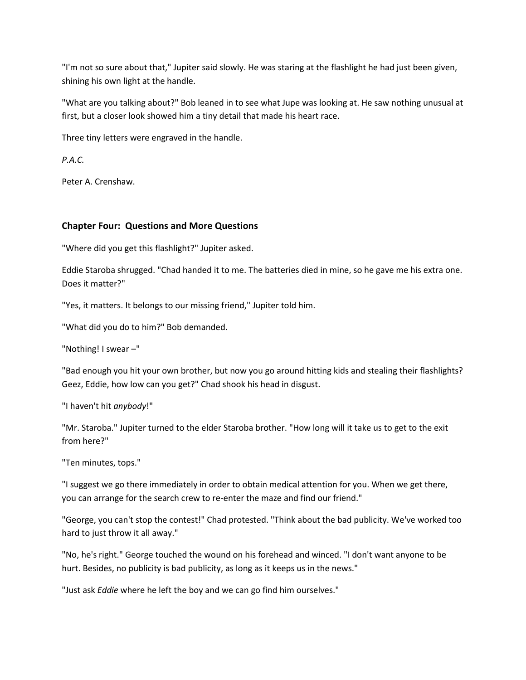"I'm not so sure about that," Jupiter said slowly. He was staring at the flashlight he had just been given, shining his own light at the handle.

"What are you talking about?" Bob leaned in to see what Jupe was looking at. He saw nothing unusual at first, but a closer look showed him a tiny detail that made his heart race.

Three tiny letters were engraved in the handle.

*P.A.C.*

Peter A. Crenshaw.

## **Chapter Four: Questions and More Questions**

"Where did you get this flashlight?" Jupiter asked.

Eddie Staroba shrugged. "Chad handed it to me. The batteries died in mine, so he gave me his extra one. Does it matter?"

"Yes, it matters. It belongs to our missing friend," Jupiter told him.

"What did you do to him?" Bob demanded.

"Nothing! I swear –"

"Bad enough you hit your own brother, but now you go around hitting kids and stealing their flashlights? Geez, Eddie, how low can you get?" Chad shook his head in disgust.

"I haven't hit *anybody*!"

"Mr. Staroba." Jupiter turned to the elder Staroba brother. "How long will it take us to get to the exit from here?"

"Ten minutes, tops."

"I suggest we go there immediately in order to obtain medical attention for you. When we get there, you can arrange for the search crew to re-enter the maze and find our friend."

"George, you can't stop the contest!" Chad protested. "Think about the bad publicity. We've worked too hard to just throw it all away."

"No, he's right." George touched the wound on his forehead and winced. "I don't want anyone to be hurt. Besides, no publicity is bad publicity, as long as it keeps us in the news."

"Just ask *Eddie* where he left the boy and we can go find him ourselves."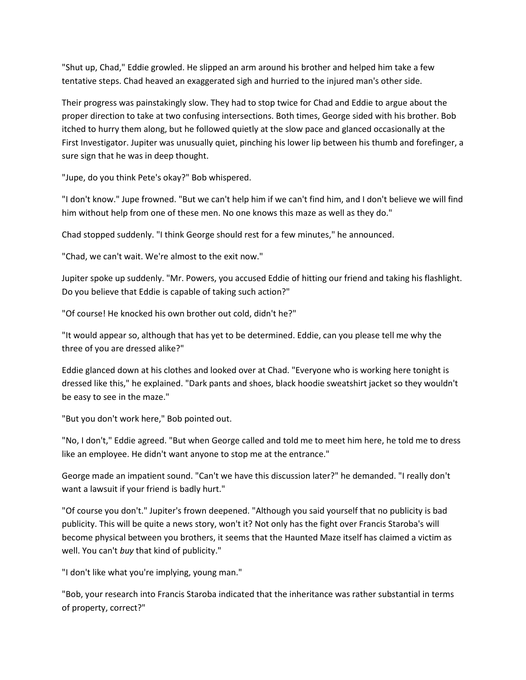"Shut up, Chad," Eddie growled. He slipped an arm around his brother and helped him take a few tentative steps. Chad heaved an exaggerated sigh and hurried to the injured man's other side.

Their progress was painstakingly slow. They had to stop twice for Chad and Eddie to argue about the proper direction to take at two confusing intersections. Both times, George sided with his brother. Bob itched to hurry them along, but he followed quietly at the slow pace and glanced occasionally at the First Investigator. Jupiter was unusually quiet, pinching his lower lip between his thumb and forefinger, a sure sign that he was in deep thought.

"Jupe, do you think Pete's okay?" Bob whispered.

"I don't know." Jupe frowned. "But we can't help him if we can't find him, and I don't believe we will find him without help from one of these men. No one knows this maze as well as they do."

Chad stopped suddenly. "I think George should rest for a few minutes," he announced.

"Chad, we can't wait. We're almost to the exit now."

Jupiter spoke up suddenly. "Mr. Powers, you accused Eddie of hitting our friend and taking his flashlight. Do you believe that Eddie is capable of taking such action?"

"Of course! He knocked his own brother out cold, didn't he?"

"It would appear so, although that has yet to be determined. Eddie, can you please tell me why the three of you are dressed alike?"

Eddie glanced down at his clothes and looked over at Chad. "Everyone who is working here tonight is dressed like this," he explained. "Dark pants and shoes, black hoodie sweatshirt jacket so they wouldn't be easy to see in the maze."

"But you don't work here," Bob pointed out.

"No, I don't," Eddie agreed. "But when George called and told me to meet him here, he told me to dress like an employee. He didn't want anyone to stop me at the entrance."

George made an impatient sound. "Can't we have this discussion later?" he demanded. "I really don't want a lawsuit if your friend is badly hurt."

"Of course you don't." Jupiter's frown deepened. "Although you said yourself that no publicity is bad publicity. This will be quite a news story, won't it? Not only has the fight over Francis Staroba's will become physical between you brothers, it seems that the Haunted Maze itself has claimed a victim as well. You can't *buy* that kind of publicity."

"I don't like what you're implying, young man."

"Bob, your research into Francis Staroba indicated that the inheritance was rather substantial in terms of property, correct?"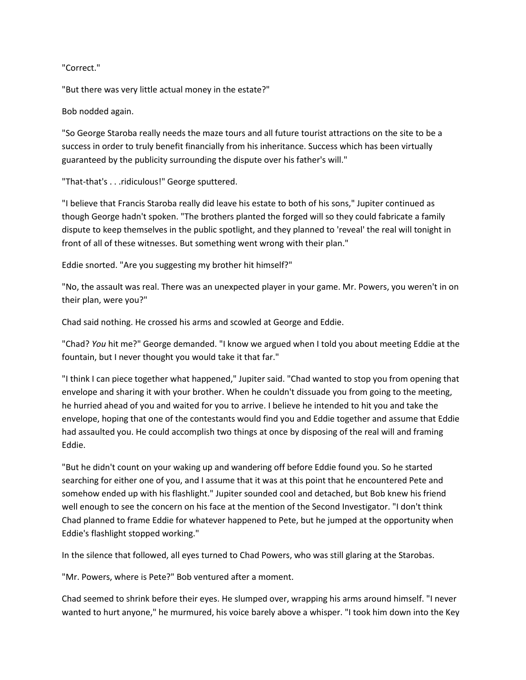#### "Correct."

"But there was very little actual money in the estate?"

## Bob nodded again.

"So George Staroba really needs the maze tours and all future tourist attractions on the site to be a success in order to truly benefit financially from his inheritance. Success which has been virtually guaranteed by the publicity surrounding the dispute over his father's will."

"That-that's . . .ridiculous!" George sputtered.

"I believe that Francis Staroba really did leave his estate to both of his sons," Jupiter continued as though George hadn't spoken. "The brothers planted the forged will so they could fabricate a family dispute to keep themselves in the public spotlight, and they planned to 'reveal' the real will tonight in front of all of these witnesses. But something went wrong with their plan."

Eddie snorted. "Are you suggesting my brother hit himself?"

"No, the assault was real. There was an unexpected player in your game. Mr. Powers, you weren't in on their plan, were you?"

Chad said nothing. He crossed his arms and scowled at George and Eddie.

"Chad? *You* hit me?" George demanded. "I know we argued when I told you about meeting Eddie at the fountain, but I never thought you would take it that far."

"I think I can piece together what happened," Jupiter said. "Chad wanted to stop you from opening that envelope and sharing it with your brother. When he couldn't dissuade you from going to the meeting, he hurried ahead of you and waited for you to arrive. I believe he intended to hit you and take the envelope, hoping that one of the contestants would find you and Eddie together and assume that Eddie had assaulted you. He could accomplish two things at once by disposing of the real will and framing Eddie.

"But he didn't count on your waking up and wandering off before Eddie found you. So he started searching for either one of you, and I assume that it was at this point that he encountered Pete and somehow ended up with his flashlight." Jupiter sounded cool and detached, but Bob knew his friend well enough to see the concern on his face at the mention of the Second Investigator. "I don't think Chad planned to frame Eddie for whatever happened to Pete, but he jumped at the opportunity when Eddie's flashlight stopped working."

In the silence that followed, all eyes turned to Chad Powers, who was still glaring at the Starobas.

"Mr. Powers, where is Pete?" Bob ventured after a moment.

Chad seemed to shrink before their eyes. He slumped over, wrapping his arms around himself. "I never wanted to hurt anyone," he murmured, his voice barely above a whisper. "I took him down into the Key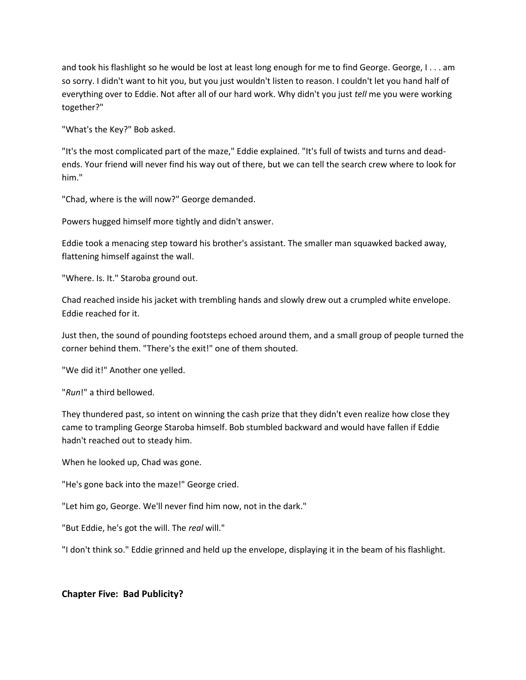and took his flashlight so he would be lost at least long enough for me to find George. George, I . . . am so sorry. I didn't want to hit you, but you just wouldn't listen to reason. I couldn't let you hand half of everything over to Eddie. Not after all of our hard work. Why didn't you just *tell* me you were working together?"

"What's the Key?" Bob asked.

"It's the most complicated part of the maze," Eddie explained. "It's full of twists and turns and deadends. Your friend will never find his way out of there, but we can tell the search crew where to look for him."

"Chad, where is the will now?" George demanded.

Powers hugged himself more tightly and didn't answer.

Eddie took a menacing step toward his brother's assistant. The smaller man squawked backed away, flattening himself against the wall.

"Where. Is. It." Staroba ground out.

Chad reached inside his jacket with trembling hands and slowly drew out a crumpled white envelope. Eddie reached for it.

Just then, the sound of pounding footsteps echoed around them, and a small group of people turned the corner behind them. "There's the exit!" one of them shouted.

"We did it!" Another one yelled.

"*Run*!" a third bellowed.

They thundered past, so intent on winning the cash prize that they didn't even realize how close they came to trampling George Staroba himself. Bob stumbled backward and would have fallen if Eddie hadn't reached out to steady him.

When he looked up, Chad was gone.

"He's gone back into the maze!" George cried.

"Let him go, George. We'll never find him now, not in the dark."

"But Eddie, he's got the will. The *real* will."

"I don't think so." Eddie grinned and held up the envelope, displaying it in the beam of his flashlight.

## **Chapter Five: Bad Publicity?**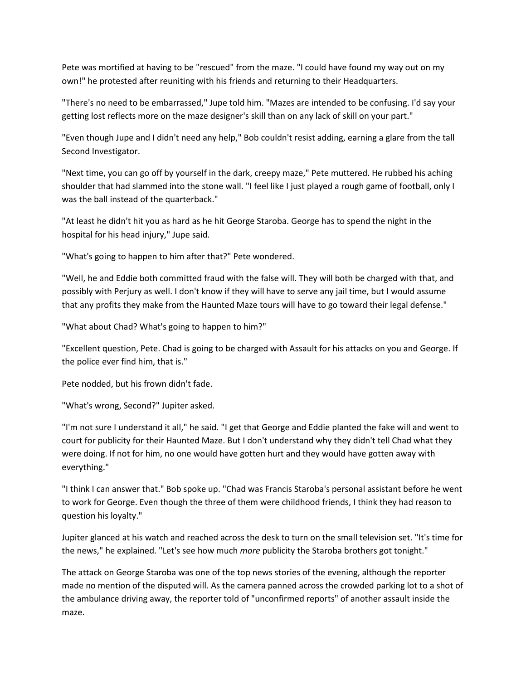Pete was mortified at having to be "rescued" from the maze. "I could have found my way out on my own!" he protested after reuniting with his friends and returning to their Headquarters.

"There's no need to be embarrassed," Jupe told him. "Mazes are intended to be confusing. I'd say your getting lost reflects more on the maze designer's skill than on any lack of skill on your part."

"Even though Jupe and I didn't need any help," Bob couldn't resist adding, earning a glare from the tall Second Investigator.

"Next time, you can go off by yourself in the dark, creepy maze," Pete muttered. He rubbed his aching shoulder that had slammed into the stone wall. "I feel like I just played a rough game of football, only I was the ball instead of the quarterback."

"At least he didn't hit you as hard as he hit George Staroba. George has to spend the night in the hospital for his head injury," Jupe said.

"What's going to happen to him after that?" Pete wondered.

"Well, he and Eddie both committed fraud with the false will. They will both be charged with that, and possibly with Perjury as well. I don't know if they will have to serve any jail time, but I would assume that any profits they make from the Haunted Maze tours will have to go toward their legal defense."

"What about Chad? What's going to happen to him?"

"Excellent question, Pete. Chad is going to be charged with Assault for his attacks on you and George. If the police ever find him, that is."

Pete nodded, but his frown didn't fade.

"What's wrong, Second?" Jupiter asked.

"I'm not sure I understand it all," he said. "I get that George and Eddie planted the fake will and went to court for publicity for their Haunted Maze. But I don't understand why they didn't tell Chad what they were doing. If not for him, no one would have gotten hurt and they would have gotten away with everything."

"I think I can answer that." Bob spoke up. "Chad was Francis Staroba's personal assistant before he went to work for George. Even though the three of them were childhood friends, I think they had reason to question his loyalty."

Jupiter glanced at his watch and reached across the desk to turn on the small television set. "It's time for the news," he explained. "Let's see how much *more* publicity the Staroba brothers got tonight."

The attack on George Staroba was one of the top news stories of the evening, although the reporter made no mention of the disputed will. As the camera panned across the crowded parking lot to a shot of the ambulance driving away, the reporter told of "unconfirmed reports" of another assault inside the maze.